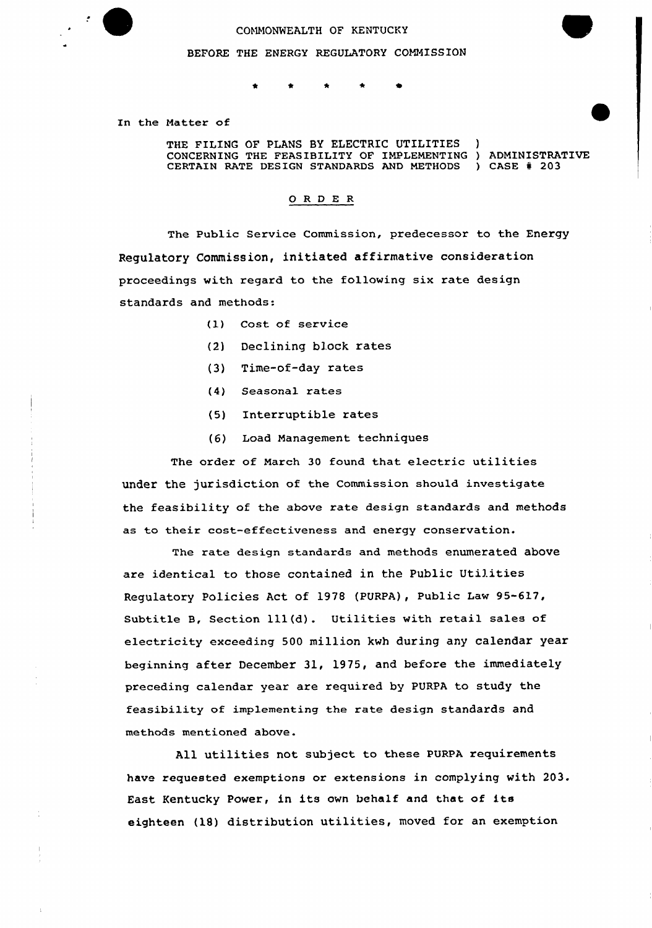

## COMMONWEALTH OF KENTUCKY

BEFORE THE ENERGY REGULATORY COMMISSION

## $\bigstar$  $\pmb{\star}$  $\star$

In the Matter of

THE FILING OF PLANS BY ELECTRIC UTILITIES CONCERNING THE FEASIBILITY OF IMPLEMENTING ) ADMINISTRATIV CERTAIN RATE DESIGN STANDARDS AND METHODS ) CASE # 203

## ORDER

The Public Service Commission, predecessor to the Energy Regulatory Commission, initiated affirmative consideration proceedings with regard to the following six rate design standards and methods:

- {I) Cost of service
- (2) Declining block rates
- (3) Time-of-day rates
- (4) Seasonal rates
- (5) Interruptible rates
- (6) Load Nanagement techniques

The order of Narch <sup>30</sup> found that electric utilities under the jurisdiction of the commission should investigate the feasibility of the above rate design standards and methods as to their cost-effectiveness and energy conservation.

The rate design standards and methods enumerated above axe identical to those contained in the Public Utilities Regulatory Policies Act of 1978 (PVRPA), Public Law 95-617, Subtitle B, Section 111(d). Utilities with retail sales of electricity exceeding 500 million kwh during any calendar year beginning after December 31, 1975, and before the immediately preceding calendar year are required by PURPA to study the feasibility of implementing the rate design standards and methods mentioned above.

All utilities not subject to these PURPA requirements have requested exemptions or extensions in complying with 203. East Kentucky Power, in its own behalf and that of its eighteen (18) distribution utilities, moved for an exemption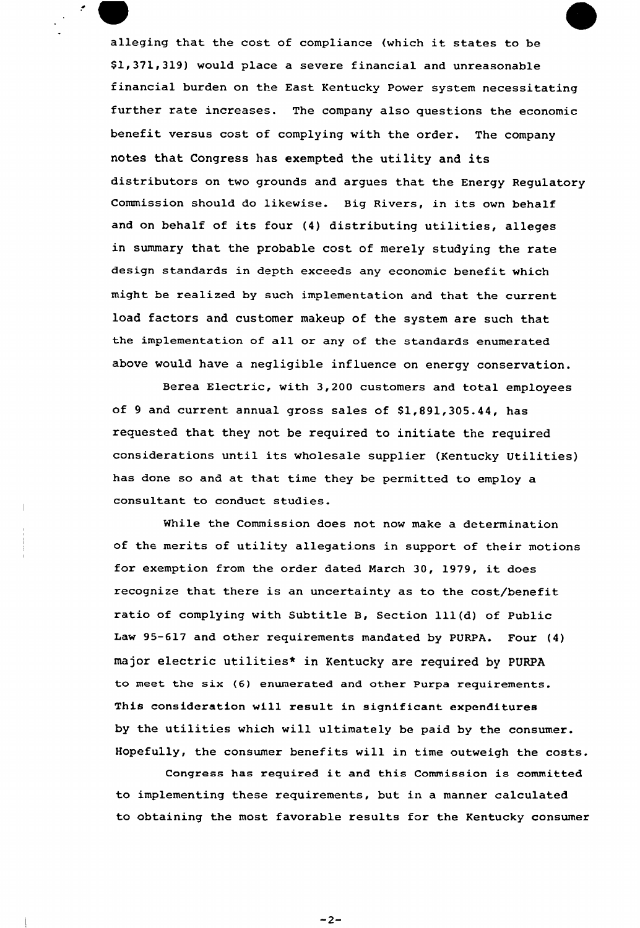alleging that the cost of compliance (which it states to be \$ 1,371,319) would place a severe financial and unreasonable financial burden on the East Kentucky Power system necessitating further rate increases. The company also questions the economic benefit versus cost of complying with the order. The company notes that Congress has exempted the utility and its distributors on two grounds and argues that the Energy Regulatory Commission should do likewise. Big Rivers, in its own behalf and on behalf of its four (4) distributing utilities, alleges in summary that the probable cost of merely studying the rate design standards in depth exceeds any economic benefit which might be realized by such implementation and that the current load factors and customer makeup of the system are such that the implementation of all or any of the standards enumerated above would have a negligible influence on energy conservation.

 $\mathcal{F}_{\mathcal{F}}$ 

Berea Electric, with 3,200 customers and total employees of 9 and current annual gross sales of \$1,891,305.44, has requested that they not be required to initiate the required considerations until its wholesale supplier (Kentucky Utilities) has done so and at that time they be permitted to employ a consultant to conduct studies.

While the Commission does not now make a determination of the merits of utility allegations in support of their motions for exemption from the order dated March 30, 1979, it does recognize that there is an uncertainty as to the cost/benefit ratio of complying with Subtitle B, Section 111(d) of Public Law 95-617 and other requirements mandated by PURPA. Four (4) major electric utilities\* in Kentucky are required by PURPA to meet the six (6) enumerated and other Purpa requirements. This consideration will result in significant expenditures by the utilities which will ultimately be paid by the consumer. Hopefully, the consumer benefits will in time outweigh the costs.

Congress has required it and this Commission is committed to implementing these requirements, but. in a manner calculated to obtaining the most favorable results for the Kentucky consumer

 $-2-$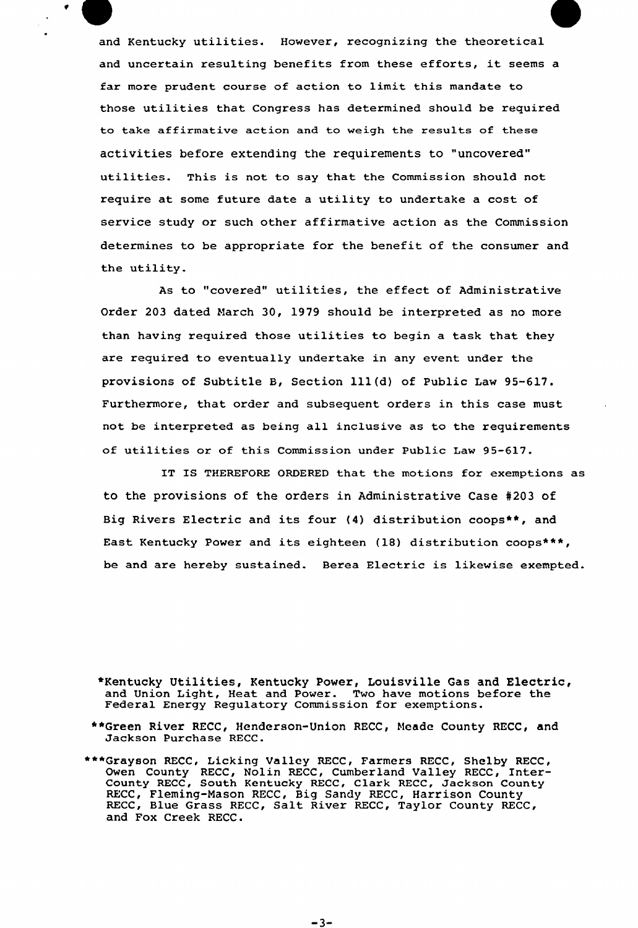and Kentucky utilities. However, recognizing the theoretical and uncertain resulting benefits from these efforts, it seems <sup>a</sup> far more prudent course of action to limit this mandate to those utilities that Congress has determined should be required to take affirmative action and to weigh the results of these activities before extending the requirements to "uncovered" utilities. This is not to say that the Commission should not require at some future date a utility to undertake a cost of service study or such other affirmative action as the Commission determines to be appropriate for the benefit of the consumer and the utility.

As to "covered" utilities, the effect of Administrative Order 203 dated March 30, 1979 should be interpreted as no more than having required those utilities to begin a task that they are required to eventually undertake in any event under the provisions of Subtitle B, Section 111(d) of Public Law 95-617. Furthermore, that order and subsequent orders in this case must not be interpreted as being all inclusive as to the requirements of utilities ox of this Commission under Public Law 95-617.

IT IS THEREFORE ORDERED that the motions for exemptions as to the provisions of the orders in Administrative Case 4203 of Big Rivers Electric and its foux (4) distribution coops\*\*, and East Kentucky Power and its eighteen (18) distribution coops\*\*\*, be and are hereby sustained. Berea Electric is likewise exempted.

\*Kentucky Utilities, Kentucky Power, Louisville Gas and Electric, and Union Light, Heat and Power. Two have motions before the Federal Energy Regulatory Commission for exemptions.

- ~\*Green River RECC, Henderson-Union RECC, hleade County RECC, and Jackson Purchase RECC.
- \*\*\*Grayson RECC, Licking Valley RECC, Farmers RECC, Shelby RECC, Owen County RECC, Nolin RECC, Cumberland Valley RECC, Inter-County RECC, South Kentucky RECC, Clark RECC, Jackson County RECC, Fleming-Mason RECC, Big Sandy RECC, Harrison County RECC, Blue Grass RECC, Salt River RECC, Taylor County RECC, and Fox Creek RECC.

 $-3-$